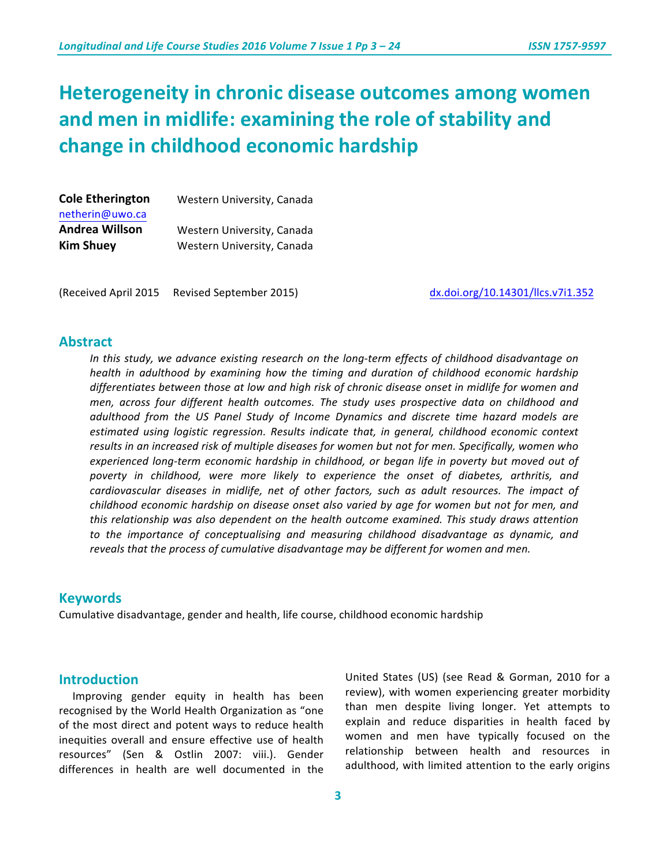# **Heterogeneity in chronic disease outcomes among women** and men in midlife: examining the role of stability and change in childhood economic hardship

| <b>Cole Etherington</b> | Western University, Canada |
|-------------------------|----------------------------|
| netherin@uwo.ca         |                            |
| <b>Andrea Willson</b>   | Western University, Canada |
| <b>Kim Shuey</b>        | Western University, Canada |

(Received April 2015 Revised September 2015) dx.doi.org/10.14301/llcs.v7i1.352

## **Abstract**

In this study, we advance existing research on the long-term effects of childhood disadvantage on *health* in adulthood by examining how the timing and duration of childhood economic hardship differentiates between those at low and high risk of chronic disease onset in midlife for women and *men, across four different health outcomes. The study uses prospective data on childhood and adulthood from the US Panel Study of Income Dynamics and discrete time hazard models are estimated using logistic regression. Results indicate that, in general, childhood economic context* results in an increased risk of multiple diseases for women but not for men. Specifically, women who experienced long-term economic hardship in childhood, or began life in poverty but moved out of poverty in childhood, were more likely to experience the onset of diabetes, arthritis, and *cardiovascular diseases in midlife, net of other factors, such as adult resources. The impact of childhood* economic hardship on disease onset also varied by age for women but not for men, and *this relationship was also dependent on the health outcome examined. This study draws attention* to the importance of conceptualising and measuring childhood disadvantage as dynamic, and reveals that the process of cumulative disadvantage may be different for women and men.

### **Keywords**

Cumulative disadvantage, gender and health, life course, childhood economic hardship

## **Introduction**

Improving gender equity in health has been recognised by the World Health Organization as "one of the most direct and potent ways to reduce health inequities overall and ensure effective use of health resources" (Sen & Ostlin 2007: viii.). Gender differences in health are well documented in the United States (US) (see Read & Gorman, 2010 for a review), with women experiencing greater morbidity than men despite living longer. Yet attempts to explain and reduce disparities in health faced by women and men have typically focused on the relationship between health and resources in adulthood, with limited attention to the early origins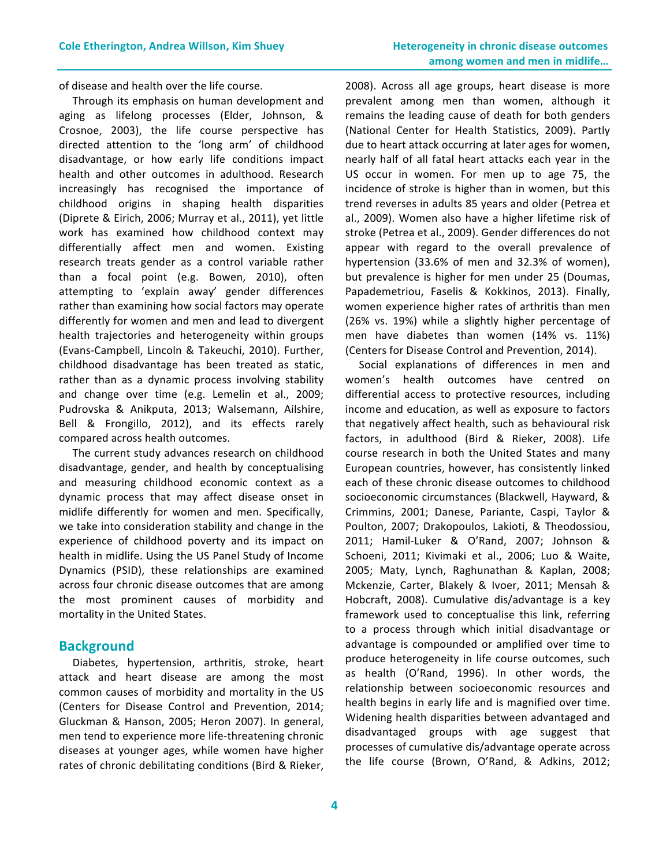of disease and health over the life course.

Through its emphasis on human development and aging as lifelong processes (Elder, Johnson, & Crosnoe, 2003), the life course perspective has directed attention to the 'long arm' of childhood disadvantage, or how early life conditions impact health and other outcomes in adulthood. Research increasingly has recognised the importance of childhood origins in shaping health disparities (Diprete & Eirich, 2006; Murray et al., 2011), yet little work has examined how childhood context may differentially affect men and women. Existing research treats gender as a control variable rather than a focal point (e.g. Bowen, 2010), often attempting to 'explain away' gender differences rather than examining how social factors may operate differently for women and men and lead to divergent health trajectories and heterogeneity within groups (Evans-Campbell, Lincoln & Takeuchi, 2010). Further, childhood disadvantage has been treated as static, rather than as a dynamic process involving stability and change over time (e.g. Lemelin et al., 2009; Pudrovska & Anikputa, 2013; Walsemann, Ailshire, Bell & Frongillo, 2012), and its effects rarely compared across health outcomes.

The current study advances research on childhood disadvantage, gender, and health by conceptualising and measuring childhood economic context as a dynamic process that may affect disease onset in midlife differently for women and men. Specifically, we take into consideration stability and change in the experience of childhood poverty and its impact on health in midlife. Using the US Panel Study of Income Dynamics (PSID), these relationships are examined across four chronic disease outcomes that are among the most prominent causes of morbidity and mortality in the United States.

#### **Background**

Diabetes, hypertension, arthritis, stroke, heart attack and heart disease are among the most common causes of morbidity and mortality in the US (Centers for Disease Control and Prevention, 2014; Gluckman & Hanson, 2005; Heron 2007). In general, men tend to experience more life-threatening chronic diseases at younger ages, while women have higher rates of chronic debilitating conditions (Bird & Rieker, 2008). Across all age groups, heart disease is more prevalent among men than women, although it remains the leading cause of death for both genders (National Center for Health Statistics, 2009). Partly due to heart attack occurring at later ages for women, nearly half of all fatal heart attacks each year in the US occur in women. For men up to age 75, the incidence of stroke is higher than in women, but this trend reverses in adults 85 years and older (Petrea et al., 2009). Women also have a higher lifetime risk of stroke (Petrea et al., 2009). Gender differences do not appear with regard to the overall prevalence of hypertension (33.6% of men and 32.3% of women), but prevalence is higher for men under 25 (Doumas, Papademetriou, Faselis & Kokkinos, 2013). Finally, women experience higher rates of arthritis than men (26% vs. 19%) while a slightly higher percentage of men have diabetes than women (14% vs. 11%) (Centers for Disease Control and Prevention, 2014).

Social explanations of differences in men and women's health outcomes have centred on differential access to protective resources, including income and education, as well as exposure to factors that negatively affect health, such as behavioural risk factors, in adulthood (Bird & Rieker, 2008). Life course research in both the United States and many European countries, however, has consistently linked each of these chronic disease outcomes to childhood socioeconomic circumstances (Blackwell, Hayward, & Crimmins, 2001; Danese, Pariante, Caspi, Taylor & Poulton, 2007; Drakopoulos, Lakioti, & Theodossiou, 2011; Hamil-Luker & O'Rand, 2007; Johnson & Schoeni, 2011; Kivimaki et al., 2006; Luo & Waite, 2005; Maty, Lynch, Raghunathan & Kaplan, 2008; Mckenzie, Carter, Blakely & Ivoer, 2011; Mensah & Hobcraft, 2008). Cumulative dis/advantage is a key framework used to conceptualise this link, referring to a process through which initial disadvantage or advantage is compounded or amplified over time to produce heterogeneity in life course outcomes, such as health (O'Rand, 1996). In other words, the relationship between socioeconomic resources and health begins in early life and is magnified over time. Widening health disparities between advantaged and disadvantaged groups with age suggest that processes of cumulative dis/advantage operate across the life course (Brown, O'Rand, & Adkins, 2012;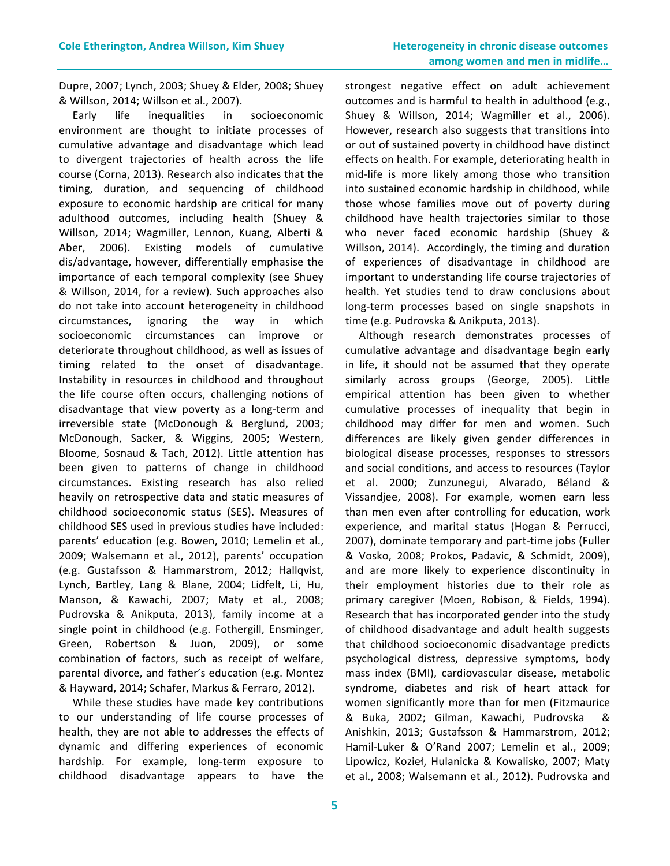Dupre, 2007; Lynch, 2003; Shuey & Elder, 2008; Shuey & Willson, 2014; Willson et al., 2007).

Early life inequalities in socioeconomic environment are thought to initiate processes of cumulative advantage and disadvantage which lead to divergent trajectories of health across the life course (Corna, 2013). Research also indicates that the timing, duration, and sequencing of childhood exposure to economic hardship are critical for many adulthood outcomes, including health (Shuey & Willson, 2014; Wagmiller, Lennon, Kuang, Alberti & Aber, 2006). Existing models of cumulative dis/advantage, however, differentially emphasise the importance of each temporal complexity (see Shuey & Willson, 2014, for a review). Such approaches also do not take into account heterogeneity in childhood circumstances, ignoring the way in which socioeconomic circumstances can improve or deteriorate throughout childhood, as well as issues of timing related to the onset of disadvantage. Instability in resources in childhood and throughout the life course often occurs, challenging notions of disadvantage that view poverty as a long-term and irreversible state (McDonough & Berglund, 2003; McDonough, Sacker, & Wiggins, 2005; Western, Bloome, Sosnaud & Tach, 2012). Little attention has been given to patterns of change in childhood circumstances. Existing research has also relied heavily on retrospective data and static measures of childhood socioeconomic status (SES). Measures of childhood SES used in previous studies have included: parents' education (e.g. Bowen, 2010; Lemelin et al., 2009; Walsemann et al., 2012), parents' occupation (e.g. Gustafsson & Hammarstrom, 2012; Hallqvist, Lynch, Bartley, Lang & Blane, 2004; Lidfelt, Li, Hu, Manson, & Kawachi, 2007; Maty et al., 2008; Pudrovska & Anikputa, 2013), family income at a single point in childhood (e.g. Fothergill, Ensminger, Green, Robertson & Juon, 2009), or some combination of factors, such as receipt of welfare, parental divorce, and father's education (e.g. Montez & Hayward, 2014; Schafer, Markus & Ferraro, 2012).

While these studies have made key contributions to our understanding of life course processes of health, they are not able to addresses the effects of dynamic and differing experiences of economic hardship. For example, long-term exposure to childhood disadvantage appears to have the  strongest negative effect on adult achievement outcomes and is harmful to health in adulthood (e.g., Shuey & Willson, 2014; Wagmiller et al., 2006). However, research also suggests that transitions into or out of sustained poverty in childhood have distinct effects on health. For example, deteriorating health in mid-life is more likely among those who transition into sustained economic hardship in childhood, while those whose families move out of poverty during childhood have health trajectories similar to those who never faced economic hardship (Shuey & Willson, 2014). Accordingly, the timing and duration of experiences of disadvantage in childhood are important to understanding life course trajectories of health. Yet studies tend to draw conclusions about long-term processes based on single snapshots in time (e.g. Pudrovska & Anikputa, 2013).

Although research demonstrates processes of cumulative advantage and disadvantage begin early in life, it should not be assumed that they operate similarly across groups (George, 2005). Little empirical attention has been given to whether cumulative processes of inequality that begin in childhood may differ for men and women. Such differences are likely given gender differences in biological disease processes, responses to stressors and social conditions, and access to resources (Taylor et al. 2000; Zunzunegui, Alvarado, Béland & Vissandjee, 2008). For example, women earn less than men even after controlling for education, work experience, and marital status (Hogan & Perrucci, 2007), dominate temporary and part-time jobs (Fuller & Vosko, 2008; Prokos, Padavic, & Schmidt, 2009), and are more likely to experience discontinuity in their employment histories due to their role as primary caregiver (Moen, Robison, & Fields, 1994). Research that has incorporated gender into the study of childhood disadvantage and adult health suggests that childhood socioeconomic disadvantage predicts psychological distress, depressive symptoms, body mass index (BMI), cardiovascular disease, metabolic syndrome, diabetes and risk of heart attack for women significantly more than for men (Fitzmaurice & Buka, 2002; Gilman, Kawachi, Pudrovska & Anishkin, 2013; Gustafsson & Hammarstrom, 2012; Hamil-Luker & O'Rand 2007; Lemelin et al., 2009; Lipowicz, Kozieł, Hulanicka & Kowalisko, 2007; Maty et al., 2008; Walsemann et al., 2012). Pudrovska and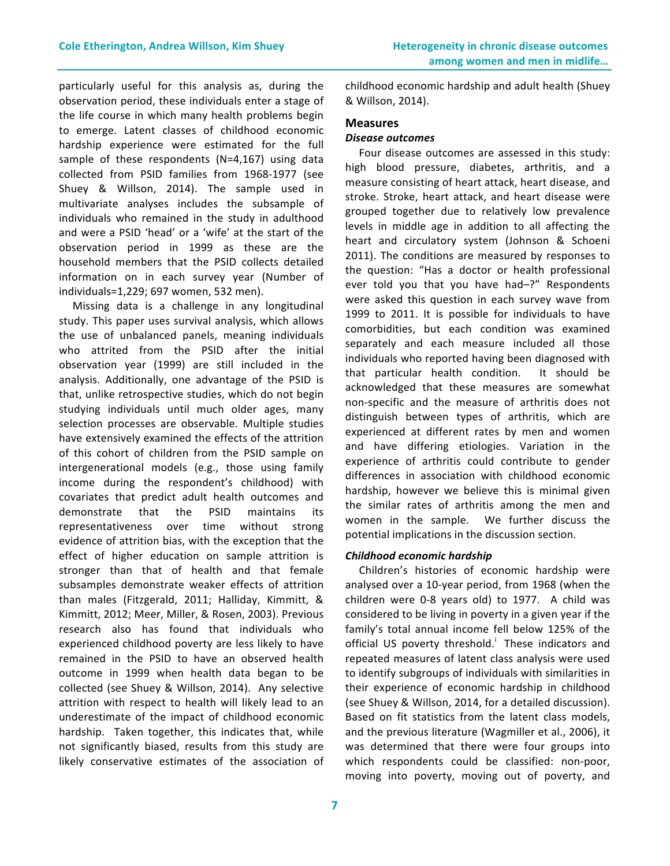particularly useful for this analysis as, during the observation period, these individuals enter a stage of the life course in which many health problems begin to emerge. Latent classes of childhood economic hardship experience were estimated for the full sample of these respondents  $(N=4,167)$  using data collected from PSID families from 1968-1977 (see Shuey & Willson, 2014). The sample used in multivariate analyses includes the subsample of individuals who remained in the study in adulthood and were a PSID 'head' or a 'wife' at the start of the observation period in 1999 as these are the household members that the PSID collects detailed information on in each survey year (Number of individuals=1,229; 697 women, 532 men).

Missing data is a challenge in any longitudinal study. This paper uses survival analysis, which allows the use of unbalanced panels, meaning individuals who attrited from the PSID after the initial observation year (1999) are still included in the analysis. Additionally, one advantage of the PSID is that, unlike retrospective studies, which do not begin studying individuals until much older ages, many selection processes are observable. Multiple studies have extensively examined the effects of the attrition of this cohort of children from the PSID sample on intergenerational models (e.g., those using family income during the respondent's childhood) with covariates that predict adult health outcomes and demonstrate that the PSID maintains its representativeness over time without strong evidence of attrition bias, with the exception that the effect of higher education on sample attrition is stronger than that of health and that female subsamples demonstrate weaker effects of attrition than males (Fitzgerald, 2011; Halliday, Kimmitt, & Kimmitt, 2012; Meer, Miller, & Rosen, 2003). Previous research also has found that individuals who experienced childhood poverty are less likely to have remained in the PSID to have an observed health outcome in 1999 when health data began to be collected (see Shuey & Willson, 2014). Any selective attrition with respect to health will likely lead to an underestimate of the impact of childhood economic hardship. Taken together, this indicates that, while not significantly biased, results from this study are likely conservative estimates of the association of childhood economic hardship and adult health (Shuey & Willson, 2014).

#### **Measures**

#### *Disease outcomes*

Four disease outcomes are assessed in this study: high blood pressure, diabetes, arthritis, and a measure consisting of heart attack, heart disease, and stroke. Stroke, heart attack, and heart disease were grouped together due to relatively low prevalence levels in middle age in addition to all affecting the heart and circulatory system (Johnson & Schoeni 2011). The conditions are measured by responses to the question: "Has a doctor or health professional ever told you that you have had-?" Respondents were asked this question in each survey wave from 1999 to 2011. It is possible for individuals to have comorbidities, but each condition was examined separately and each measure included all those individuals who reported having been diagnosed with that particular health condition. It should be acknowledged that these measures are somewhat non-specific and the measure of arthritis does not distinguish between types of arthritis, which are experienced at different rates by men and women and have differing etiologies. Variation in the experience of arthritis could contribute to gender differences in association with childhood economic hardship, however we believe this is minimal given the similar rates of arthritis among the men and women in the sample. We further discuss the potential implications in the discussion section.

#### *Childhood economic hardship*

Children's histories of economic hardship were analysed over a 10-year period, from 1968 (when the children were 0-8 years old) to 1977. A child was considered to be living in poverty in a given year if the family's total annual income fell below 125% of the official US poverty threshold.<sup>1</sup> These indicators and repeated measures of latent class analysis were used to identify subgroups of individuals with similarities in their experience of economic hardship in childhood (see Shuey & Willson, 2014, for a detailed discussion). Based on fit statistics from the latent class models, and the previous literature (Wagmiller et al., 2006), it was determined that there were four groups into which respondents could be classified: non-poor, moving into poverty, moving out of poverty, and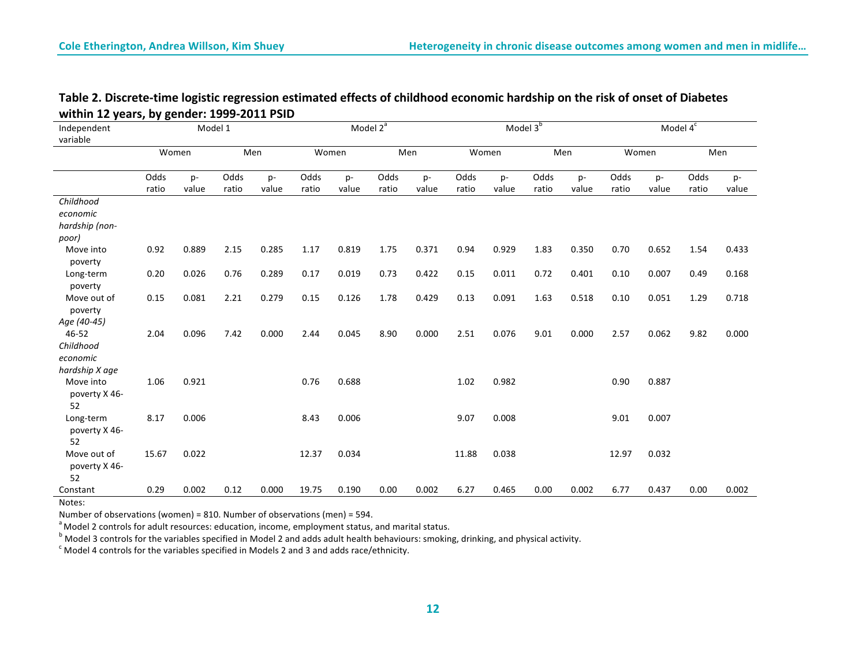| Independent                      |              | Model 1 |       | Model 2 <sup>ª</sup> |       |       |              |       |       | Model $3b$ |       | Model $4^{\overline{c}}$ |       |       |       |       |
|----------------------------------|--------------|---------|-------|----------------------|-------|-------|--------------|-------|-------|------------|-------|--------------------------|-------|-------|-------|-------|
| variable                         | Men<br>Women |         |       | Women                |       | Men   | Men<br>Women |       |       |            | Women | Men                      |       |       |       |       |
|                                  |              |         |       |                      |       |       |              |       |       |            |       |                          |       |       |       |       |
|                                  | Odds         | p-      | Odds  | p-                   | Odds  | p-    | Odds         | p-    | Odds  | p-         | Odds  | p-                       | Odds  | p-    | Odds  | p-    |
|                                  | ratio        | value   | ratio | value                | ratio | value | ratio        | value | ratio | value      | ratio | value                    | ratio | value | ratio | value |
| Childhood                        |              |         |       |                      |       |       |              |       |       |            |       |                          |       |       |       |       |
| economic                         |              |         |       |                      |       |       |              |       |       |            |       |                          |       |       |       |       |
| hardship (non-                   |              |         |       |                      |       |       |              |       |       |            |       |                          |       |       |       |       |
| poor)                            |              |         |       |                      |       |       |              |       |       |            |       |                          |       |       |       |       |
| Move into<br>poverty             | 0.92         | 0.889   | 2.15  | 0.285                | 1.17  | 0.819 | 1.75         | 0.371 | 0.94  | 0.929      | 1.83  | 0.350                    | 0.70  | 0.652 | 1.54  | 0.433 |
| Long-term<br>poverty             | 0.20         | 0.026   | 0.76  | 0.289                | 0.17  | 0.019 | 0.73         | 0.422 | 0.15  | 0.011      | 0.72  | 0.401                    | 0.10  | 0.007 | 0.49  | 0.168 |
| Move out of<br>poverty           | 0.15         | 0.081   | 2.21  | 0.279                | 0.15  | 0.126 | 1.78         | 0.429 | 0.13  | 0.091      | 1.63  | 0.518                    | 0.10  | 0.051 | 1.29  | 0.718 |
| Age (40-45)                      |              |         |       |                      |       |       |              |       |       |            |       |                          |       |       |       |       |
| 46-52                            | 2.04         | 0.096   | 7.42  | 0.000                | 2.44  | 0.045 | 8.90         | 0.000 | 2.51  | 0.076      | 9.01  | 0.000                    | 2.57  | 0.062 | 9.82  | 0.000 |
| Childhood                        |              |         |       |                      |       |       |              |       |       |            |       |                          |       |       |       |       |
| economic                         |              |         |       |                      |       |       |              |       |       |            |       |                          |       |       |       |       |
| hardship X age                   |              |         |       |                      |       |       |              |       |       |            |       |                          |       |       |       |       |
| Move into<br>poverty X 46-       | 1.06         | 0.921   |       |                      | 0.76  | 0.688 |              |       | 1.02  | 0.982      |       |                          | 0.90  | 0.887 |       |       |
| 52                               |              |         |       |                      |       |       |              |       |       |            |       |                          |       |       |       |       |
| Long-term<br>poverty X 46-<br>52 | 8.17         | 0.006   |       |                      | 8.43  | 0.006 |              |       | 9.07  | 0.008      |       |                          | 9.01  | 0.007 |       |       |
| Move out of                      | 15.67        | 0.022   |       |                      | 12.37 | 0.034 |              |       | 11.88 | 0.038      |       |                          | 12.97 | 0.032 |       |       |
| poverty X 46-<br>52              |              |         |       |                      |       |       |              |       |       |            |       |                          |       |       |       |       |
| Constant                         | 0.29         | 0.002   | 0.12  | 0.000                | 19.75 | 0.190 | 0.00         | 0.002 | 6.27  | 0.465      | 0.00  | 0.002                    | 6.77  | 0.437 | 0.00  | 0.002 |

# Table 2. Discrete-time logistic regression estimated effects of childhood economic hardship on the risk of onset of Diabetes within 12 years, by gender: 1999-2011 PSID

Notes:

Number of observations (women) = 810. Number of observations (men) = 594.

<sup>a</sup> Model 2 controls for adult resources: education, income, employment status, and marital status.

 $\overline{b}$  Model 3 controls for the variables specified in Model 2 and adds adult health behaviours: smoking, drinking, and physical activity.<br>
C Model 4 controls for the variables specified in Models 2 and 3 and adds race/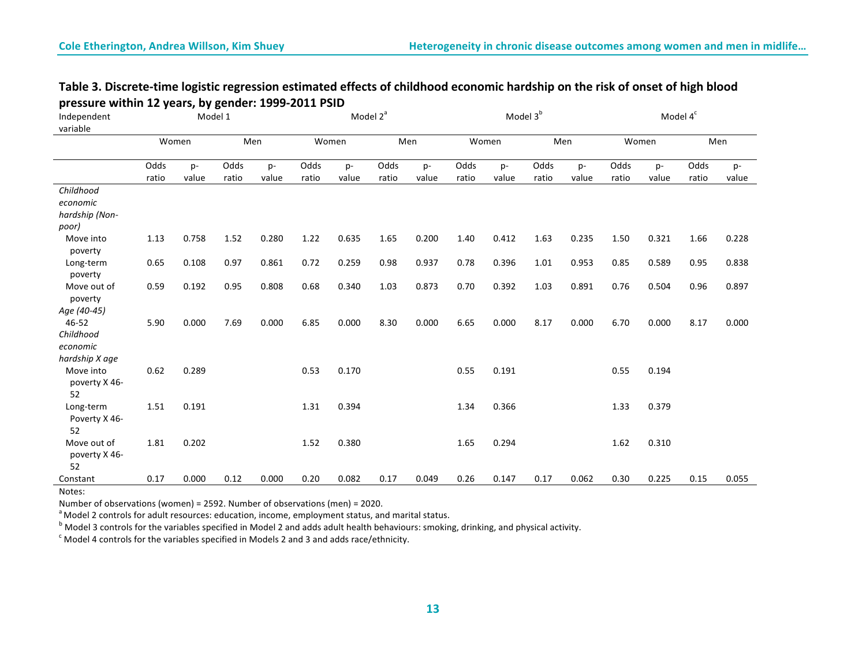| Table 3. Discrete-time logistic regression estimated effects of childhood economic hardship on the risk of onset of high blood |
|--------------------------------------------------------------------------------------------------------------------------------|
| pressure within 12 years, by gender: 1999-2011 PSID                                                                            |

| Independent<br>variable |       |       | Model 1 |       | Model 2 <sup>ª</sup> |       |       |       |       |       | Model 3 <sup>b</sup> |       | Model 4 <sup>c</sup> |       |       |       |  |
|-------------------------|-------|-------|---------|-------|----------------------|-------|-------|-------|-------|-------|----------------------|-------|----------------------|-------|-------|-------|--|
|                         | Women |       | Men     |       | Women                |       | Men   |       | Women |       | Men                  |       | Women                |       | Men   |       |  |
|                         | Odds  | $p-$  | Odds    | p-    | Odds                 | p-    | Odds  | p-    | Odds  | p-    | Odds                 | p-    | Odds                 | $p-$  | Odds  | p-    |  |
|                         | ratio | value | ratio   | value | ratio                | value | ratio | value | ratio | value | ratio                | value | ratio                | value | ratio | value |  |
| Childhood               |       |       |         |       |                      |       |       |       |       |       |                      |       |                      |       |       |       |  |
| economic                |       |       |         |       |                      |       |       |       |       |       |                      |       |                      |       |       |       |  |
| hardship (Non-<br>poor) |       |       |         |       |                      |       |       |       |       |       |                      |       |                      |       |       |       |  |
| Move into               | 1.13  | 0.758 | 1.52    | 0.280 | 1.22                 | 0.635 | 1.65  | 0.200 | 1.40  | 0.412 | 1.63                 | 0.235 | 1.50                 | 0.321 | 1.66  | 0.228 |  |
| poverty                 |       |       |         |       |                      |       |       |       |       |       |                      |       |                      |       |       |       |  |
| Long-term               | 0.65  | 0.108 | 0.97    | 0.861 | 0.72                 | 0.259 | 0.98  | 0.937 | 0.78  | 0.396 | 1.01                 | 0.953 | 0.85                 | 0.589 | 0.95  | 0.838 |  |
| poverty                 |       |       |         |       |                      |       |       |       |       |       |                      |       |                      |       |       |       |  |
| Move out of             | 0.59  | 0.192 | 0.95    | 0.808 | 0.68                 | 0.340 | 1.03  | 0.873 | 0.70  | 0.392 | 1.03                 | 0.891 | 0.76                 | 0.504 | 0.96  | 0.897 |  |
| poverty                 |       |       |         |       |                      |       |       |       |       |       |                      |       |                      |       |       |       |  |
| Age (40-45)             |       |       |         |       |                      |       |       |       |       |       |                      |       |                      |       |       |       |  |
| 46-52                   | 5.90  | 0.000 | 7.69    | 0.000 | 6.85                 | 0.000 | 8.30  | 0.000 | 6.65  | 0.000 | 8.17                 | 0.000 | 6.70                 | 0.000 | 8.17  | 0.000 |  |
| Childhood               |       |       |         |       |                      |       |       |       |       |       |                      |       |                      |       |       |       |  |
| economic                |       |       |         |       |                      |       |       |       |       |       |                      |       |                      |       |       |       |  |
| hardship X age          |       |       |         |       |                      |       |       |       |       |       |                      |       |                      |       |       |       |  |
| Move into               | 0.62  | 0.289 |         |       | 0.53                 | 0.170 |       |       | 0.55  | 0.191 |                      |       | 0.55                 | 0.194 |       |       |  |
| poverty X 46-           |       |       |         |       |                      |       |       |       |       |       |                      |       |                      |       |       |       |  |
| 52                      |       |       |         |       |                      |       |       |       |       |       |                      |       |                      |       |       |       |  |
| Long-term               | 1.51  | 0.191 |         |       | 1.31                 | 0.394 |       |       | 1.34  | 0.366 |                      |       | 1.33                 | 0.379 |       |       |  |
| Poverty X 46-           |       |       |         |       |                      |       |       |       |       |       |                      |       |                      |       |       |       |  |
| 52<br>Move out of       | 1.81  | 0.202 |         |       | 1.52                 | 0.380 |       |       | 1.65  | 0.294 |                      |       | 1.62                 | 0.310 |       |       |  |
| poverty X 46-           |       |       |         |       |                      |       |       |       |       |       |                      |       |                      |       |       |       |  |
| 52                      |       |       |         |       |                      |       |       |       |       |       |                      |       |                      |       |       |       |  |
| Constant                | 0.17  | 0.000 | 0.12    | 0.000 | 0.20                 | 0.082 | 0.17  | 0.049 | 0.26  | 0.147 | 0.17                 | 0.062 | 0.30                 | 0.225 | 0.15  | 0.055 |  |
| $N = + - -$             |       |       |         |       |                      |       |       |       |       |       |                      |       |                      |       |       |       |  |

Notes:

Number of observations (women) = 2592. Number of observations (men) = 2020.<br>  $^{\circ}$  Model 2 controls for adult resources: education, income, employment status, and marital status.

<sup>b</sup> Model 3 controls for the variables specified in Model 2 and adds adult health behaviours: smoking, drinking, and physical activity.<br>
<sup>c</sup> Model 4 controls for the variables specified in Models 2 and 3 and adds race/ethn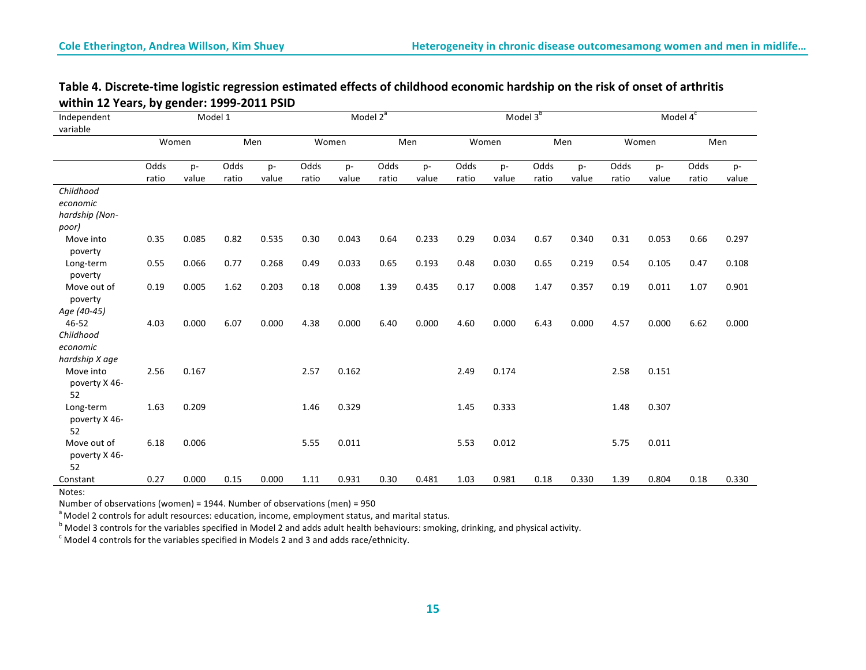# Table 4. Discrete-time logistic regression estimated effects of childhood economic hardship on the risk of onset of arthritis within 12 Years, by gender: 1999-2011 PSID

| Independent                        |              |       | Model 1 |       | Model 2 <sup>ª</sup> |       |       |       |       |       | Model 3 <sup>b</sup> |       | Model $\overline{4^c}$ |       |       |       |      |    |
|------------------------------------|--------------|-------|---------|-------|----------------------|-------|-------|-------|-------|-------|----------------------|-------|------------------------|-------|-------|-------|------|----|
| variable                           |              |       |         |       |                      |       |       |       |       |       |                      |       |                        |       |       |       |      |    |
|                                    | Women        |       | Men     |       | Women                |       | Men   |       | Women |       | Men                  |       | Women                  |       | Men   |       |      |    |
|                                    | Odds<br>$p-$ |       |         |       | Odds                 | p-    | Odds  | p-    | Odds  | p-    | Odds                 | p-    | Odds                   | p-    | Odds  | p-    | Odds | p- |
|                                    | ratio        | value | ratio   | value | ratio                | value | ratio | value | ratio | value | ratio                | value | ratio                  | value | ratio | value |      |    |
| Childhood                          |              |       |         |       |                      |       |       |       |       |       |                      |       |                        |       |       |       |      |    |
| economic                           |              |       |         |       |                      |       |       |       |       |       |                      |       |                        |       |       |       |      |    |
| hardship (Non-                     |              |       |         |       |                      |       |       |       |       |       |                      |       |                        |       |       |       |      |    |
| poor)                              |              |       |         |       |                      |       |       |       |       |       |                      |       |                        |       |       |       |      |    |
| Move into<br>poverty               | 0.35         | 0.085 | 0.82    | 0.535 | 0.30                 | 0.043 | 0.64  | 0.233 | 0.29  | 0.034 | 0.67                 | 0.340 | 0.31                   | 0.053 | 0.66  | 0.297 |      |    |
| Long-term<br>poverty               | 0.55         | 0.066 | 0.77    | 0.268 | 0.49                 | 0.033 | 0.65  | 0.193 | 0.48  | 0.030 | 0.65                 | 0.219 | 0.54                   | 0.105 | 0.47  | 0.108 |      |    |
| Move out of<br>poverty             | 0.19         | 0.005 | 1.62    | 0.203 | 0.18                 | 0.008 | 1.39  | 0.435 | 0.17  | 0.008 | 1.47                 | 0.357 | 0.19                   | 0.011 | 1.07  | 0.901 |      |    |
| Age (40-45)                        |              |       |         |       |                      |       |       |       |       |       |                      |       |                        |       |       |       |      |    |
| 46-52                              | 4.03         | 0.000 | 6.07    | 0.000 | 4.38                 | 0.000 | 6.40  | 0.000 | 4.60  | 0.000 | 6.43                 | 0.000 | 4.57                   | 0.000 | 6.62  | 0.000 |      |    |
| Childhood                          |              |       |         |       |                      |       |       |       |       |       |                      |       |                        |       |       |       |      |    |
| economic                           |              |       |         |       |                      |       |       |       |       |       |                      |       |                        |       |       |       |      |    |
| hardship X age                     |              |       |         |       |                      |       |       |       |       |       |                      |       |                        |       |       |       |      |    |
| Move into<br>poverty X 46-         | 2.56         | 0.167 |         |       | 2.57                 | 0.162 |       |       | 2.49  | 0.174 |                      |       | 2.58                   | 0.151 |       |       |      |    |
| 52                                 |              |       |         |       |                      |       |       |       |       |       |                      |       |                        |       |       |       |      |    |
| Long-term<br>poverty X 46-         | 1.63         | 0.209 |         |       | 1.46                 | 0.329 |       |       | 1.45  | 0.333 |                      |       | 1.48                   | 0.307 |       |       |      |    |
| 52                                 |              |       |         |       |                      |       |       |       |       |       |                      |       |                        |       |       |       |      |    |
| Move out of<br>poverty X 46-<br>52 | 6.18         | 0.006 |         |       | 5.55                 | 0.011 |       |       | 5.53  | 0.012 |                      |       | 5.75                   | 0.011 |       |       |      |    |
| Constant                           | 0.27         | 0.000 | 0.15    | 0.000 | 1.11                 | 0.931 | 0.30  | 0.481 | 1.03  | 0.981 | 0.18                 | 0.330 | 1.39                   | 0.804 | 0.18  | 0.330 |      |    |
|                                    |              |       |         |       |                      |       |       |       |       |       |                      |       |                        |       |       |       |      |    |

Notes:

Number of observations (women) = 1944. Number of observations (men) =  $950$ 

<sup>a</sup> Model 2 controls for adult resources: education, income, employment status, and marital status.

b Model 3 controls for the variables specified in Model 2 and adds adult health behaviours: smoking, drinking, and physical activity.<br>
<sup>b</sup> Model 3 controls for the variables specified in Models 2 and 3 and adds race/ethnic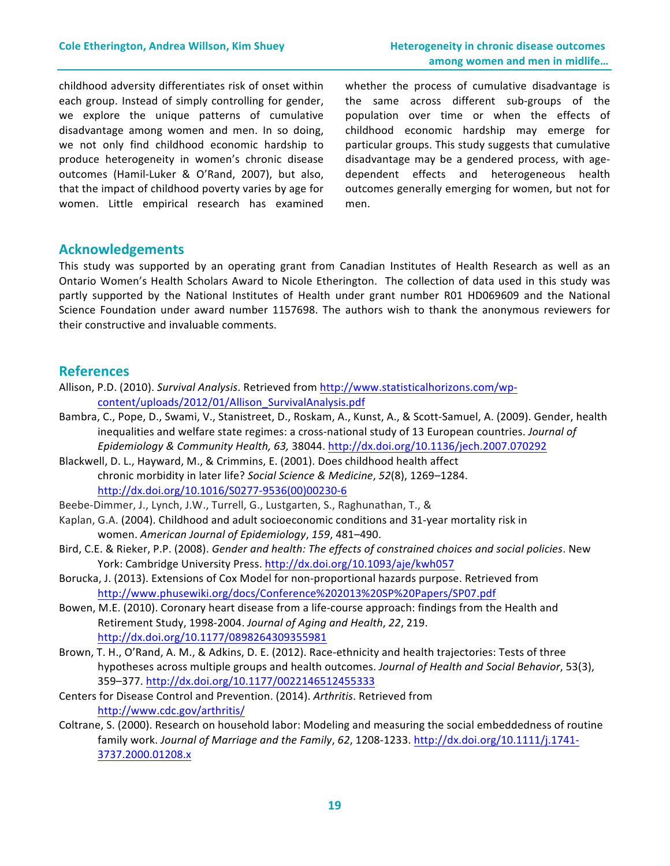childhood adversity differentiates risk of onset within each group. Instead of simply controlling for gender, we explore the unique patterns of cumulative disadvantage among women and men. In so doing, we not only find childhood economic hardship to produce heterogeneity in women's chronic disease outcomes (Hamil-Luker & O'Rand, 2007), but also, that the impact of childhood poverty varies by age for women. Little empirical research has examined whether the process of cumulative disadvantage is the same across different sub-groups of the population over time or when the effects of childhood economic hardship may emerge for particular groups. This study suggests that cumulative disadvantage may be a gendered process, with agedependent effects and heterogeneous health outcomes generally emerging for women, but not for men. 

## **Acknowledgements**

This study was supported by an operating grant from Canadian Institutes of Health Research as well as an Ontario Women's Health Scholars Award to Nicole Etherington. The collection of data used in this study was partly supported by the National Institutes of Health under grant number R01 HD069609 and the National Science Foundation under award number 1157698. The authors wish to thank the anonymous reviewers for their constructive and invaluable comments.

## **References**

- Allison, P.D. (2010). *Survival Analysis*. Retrieved from http://www.statisticalhorizons.com/wpcontent/uploads/2012/01/Allison\_SurvivalAnalysis.pdf
- Bambra, C., Pope, D., Swami, V., Stanistreet, D., Roskam, A., Kunst, A., & Scott-Samuel, A. (2009). Gender, health inequalities and welfare state regimes: a cross-national study of 13 European countries. *Journal of Epidemiology & Community Health, 63,* 38044. http://dx.doi.org/10.1136/jech.2007.070292
- Blackwell, D. L., Hayward, M., & Crimmins, E. (2001). Does childhood health affect chronic morbidity in later life? Social Science & Medicine, 52(8), 1269-1284. http://dx.doi.org/10.1016/S0277-9536(00)00230-6
- Beebe-Dimmer, J., Lynch, J.W., Turrell, G., Lustgarten, S., Raghunathan, T., &
- Kaplan, G.A. (2004). Childhood and adult socioeconomic conditions and 31-year mortality risk in women. *American Journal of Epidemiology*, *159*, 481–490.
- Bird, C.E. & Rieker, P.P. (2008). *Gender and health: The effects of constrained choices and social policies*. New York: Cambridge University Press. http://dx.doi.org/10.1093/aje/kwh057
- Borucka, J. (2013). Extensions of Cox Model for non-proportional hazards purpose. Retrieved from http://www.phusewiki.org/docs/Conference%202013%20SP%20Papers/SP07.pdf
- Bowen, M.E. (2010). Coronary heart disease from a life-course approach: findings from the Health and Retirement Study, 1998-2004. *Journal of Aging and Health*, 22, 219. http://dx.doi.org/10.1177/0898264309355981
- Brown, T. H., O'Rand, A. M., & Adkins, D. E. (2012). Race-ethnicity and health trajectories: Tests of three hypotheses across multiple groups and health outcomes. *Journal of Health and Social Behavior*, 53(3), 359–377. http://dx.doi.org/10.1177/0022146512455333
- Centers for Disease Control and Prevention. (2014). Arthritis. Retrieved from http://www.cdc.gov/arthritis/
- Coltrane, S. (2000). Research on household labor: Modeling and measuring the social embeddedness of routine family work. Journal of Marriage and the Family, 62, 1208-1233. http://dx.doi.org/10.1111/j.1741-3737.2000.01208.x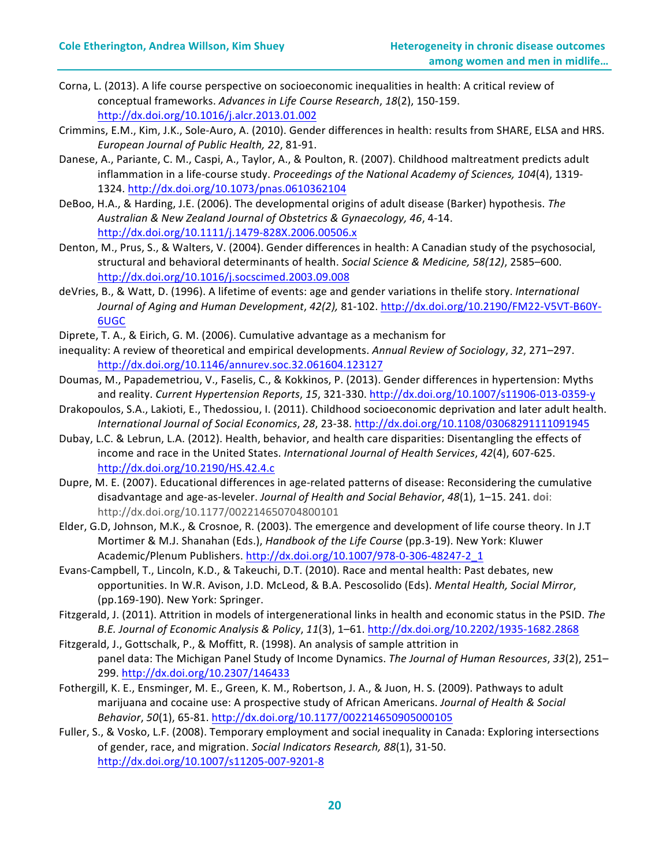- Corna, L. (2013). A life course perspective on socioeconomic inequalities in health: A critical review of conceptual frameworks. Advances in Life Course Research, 18(2), 150-159. http://dx.doi.org/10.1016/j.alcr.2013.01.002
- Crimmins, E.M., Kim, J.K., Sole-Auro, A. (2010). Gender differences in health: results from SHARE, ELSA and HRS. *European Journal of Public Health, 22*, 81-91.
- Danese, A., Pariante, C. M., Caspi, A., Taylor, A., & Poulton, R. (2007). Childhood maltreatment predicts adult inflammation in a life-course study. Proceedings of the National Academy of Sciences, 104(4), 1319-1324. http://dx.doi.org/10.1073/pnas.0610362104
- DeBoo, H.A., & Harding, J.E. (2006). The developmental origins of adult disease (Barker) hypothesis. The *Australian & New Zealand Journal of Obstetrics & Gynaecology, 46*, 4-14. http://dx.doi.org/10.1111/j.1479-828X.2006.00506.x
- Denton, M., Prus, S., & Walters, V. (2004). Gender differences in health: A Canadian study of the psychosocial, structural and behavioral determinants of health. Social Science & Medicine, 58(12), 2585-600. http://dx.doi.org/10.1016/j.socscimed.2003.09.008
- deVries, B., & Watt, D. (1996). A lifetime of events: age and gender variations in thelife story. *International Journal of Aging and Human Development*, *42(2),* 81-102. http://dx.doi.org/10.2190/FM22-V5VT-B60Y-6UGC
- Diprete, T. A., & Eirich, G. M. (2006). Cumulative advantage as a mechanism for
- inequality: A review of theoretical and empirical developments. Annual Review of Sociology, 32, 271–297. http://dx.doi.org/10.1146/annurev.soc.32.061604.123127
- Doumas, M., Papademetriou, V., Faselis, C., & Kokkinos, P. (2013). Gender differences in hypertension: Myths and reality. *Current Hypertension Reports*, 15, 321-330. http://dx.doi.org/10.1007/s11906-013-0359-y
- Drakopoulos, S.A., Lakioti, E., Thedossiou, I. (2011). Childhood socioeconomic deprivation and later adult health. *International Journal of Social Economics*, *28*, 23-38. http://dx.doi.org/10.1108/03068291111091945
- Dubay, L.C. & Lebrun, L.A. (2012). Health, behavior, and health care disparities: Disentangling the effects of income and race in the United States. International Journal of Health Services, 42(4), 607-625. http://dx.doi.org/10.2190/HS.42.4.c
- Dupre, M. E. (2007). Educational differences in age-related patterns of disease: Reconsidering the cumulative disadvantage and age-as-leveler. Journal of Health and Social Behavior, 48(1), 1-15. 241. doi: http://dx.doi.org/10.1177/002214650704800101
- Elder, G.D, Johnson, M.K., & Crosnoe, R. (2003). The emergence and development of life course theory. In J.T Mortimer & M.J. Shanahan (Eds.), *Handbook of the Life Course* (pp.3-19). New York: Kluwer Academic/Plenum Publishers. http://dx.doi.org/10.1007/978-0-306-48247-2\_1
- Evans-Campbell, T., Lincoln, K.D., & Takeuchi, D.T. (2010). Race and mental health: Past debates, new opportunities. In W.R. Avison, J.D. McLeod, & B.A. Pescosolido (Eds). *Mental Health, Social Mirror*, (pp.169-190). New York: Springer.
- Fitzgerald, J. (2011). Attrition in models of intergenerational links in health and economic status in the PSID. The *B.E. Journal of Economic Analysis & Policy*, *11*(3), 1–61. http://dx.doi.org/10.2202/1935-1682.2868
- Fitzgerald, J., Gottschalk, P., & Moffitt, R. (1998). An analysis of sample attrition in panel data: The Michigan Panel Study of Income Dynamics. The Journal of Human Resources, 33(2), 251-299. http://dx.doi.org/10.2307/146433
- Fothergill, K. E., Ensminger, M. E., Green, K. M., Robertson, J. A., & Juon, H. S. (2009). Pathways to adult marijuana and cocaine use: A prospective study of African Americans. *Journal of Health & Social Behavior*, *50*(1), 65-81. http://dx.doi.org/10.1177/002214650905000105
- Fuller, S., & Vosko, L.F. (2008). Temporary employment and social inequality in Canada: Exploring intersections of gender, race, and migration. Social Indicators Research, 88(1), 31-50. http://dx.doi.org/10.1007/s11205-007-9201-8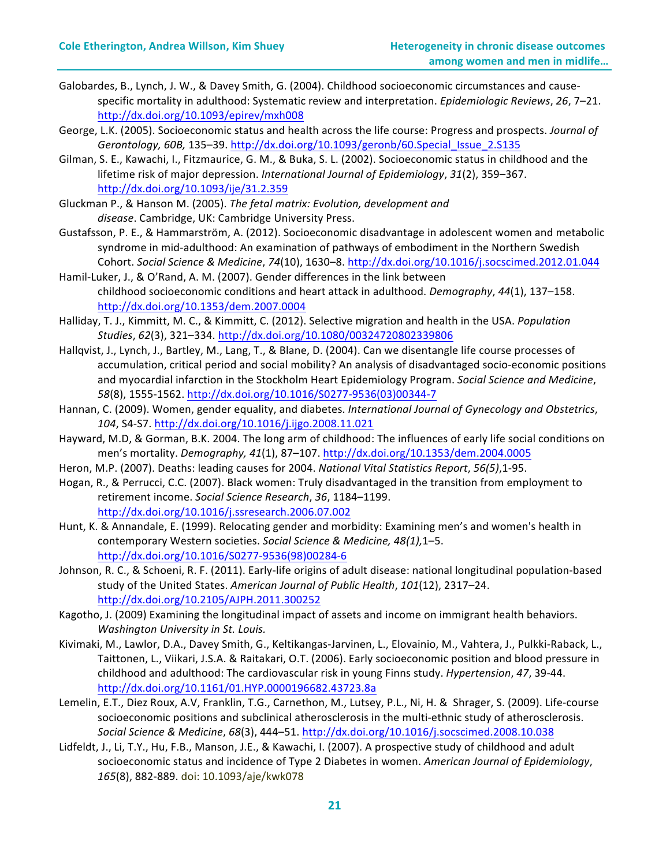- Galobardes, B., Lynch, J. W., & Davey Smith, G. (2004). Childhood socioeconomic circumstances and causespecific mortality in adulthood: Systematic review and interpretation. *Epidemiologic Reviews*, *26*, 7–21. http://dx.doi.org/10.1093/epirev/mxh008
- George, L.K. (2005). Socioeconomic status and health across the life course: Progress and prospects. *Journal of Gerontology, 60B,* 135–39. http://dx.doi.org/10.1093/geronb/60.Special\_Issue\_2.S135
- Gilman, S. E., Kawachi, I., Fitzmaurice, G. M., & Buka, S. L. (2002). Socioeconomic status in childhood and the lifetime risk of major depression. International Journal of Epidemiology, 31(2), 359-367. http://dx.doi.org/10.1093/ije/31.2.359
- Gluckman P., & Hanson M. (2005). *The fetal matrix: Evolution, development and* disease. Cambridge, UK: Cambridge University Press.
- Gustafsson, P. E., & Hammarström, A. (2012). Socioeconomic disadvantage in adolescent women and metabolic syndrome in mid-adulthood: An examination of pathways of embodiment in the Northern Swedish Cohort. *Social Science & Medicine*, *74*(10), 1630–8. http://dx.doi.org/10.1016/j.socscimed.2012.01.044
- Hamil-Luker, J., & O'Rand, A. M. (2007). Gender differences in the link between childhood socioeconomic conditions and heart attack in adulthood. *Demography*, 44(1), 137–158. http://dx.doi.org/10.1353/dem.2007.0004
- Halliday, T. J., Kimmitt, M. C., & Kimmitt, C. (2012). Selective migration and health in the USA. *Population Studies*, *62*(3), 321–334. http://dx.doi.org/10.1080/00324720802339806
- Hallqvist, J., Lynch, J., Bartley, M., Lang, T., & Blane, D. (2004). Can we disentangle life course processes of accumulation, critical period and social mobility? An analysis of disadvantaged socio-economic positions and myocardial infarction in the Stockholm Heart Epidemiology Program. *Social Science and Medicine*, *58*(8), 1555-1562. http://dx.doi.org/10.1016/S0277-9536(03)00344-7
- Hannan, C. (2009). Women, gender equality, and diabetes. International Journal of Gynecology and Obstetrics, *104*, S4-S7. http://dx.doi.org/10.1016/j.ijgo.2008.11.021
- Hayward, M.D, & Gorman, B.K. 2004. The long arm of childhood: The influences of early life social conditions on men's mortality. *Demography, 41*(1), 87-107. http://dx.doi.org/10.1353/dem.2004.0005
- Heron, M.P. (2007). Deaths: leading causes for 2004. *National Vital Statistics Report*, 56(5),1-95.
- Hogan, R., & Perrucci, C.C. (2007). Black women: Truly disadvantaged in the transition from employment to retirement income. *Social Science Research*, 36, 1184–1199. http://dx.doi.org/10.1016/j.ssresearch.2006.07.002
- Hunt, K. & Annandale, E. (1999). Relocating gender and morbidity: Examining men's and women's health in contemporary Western societies. Social Science & Medicine, 48(1),1-5. http://dx.doi.org/10.1016/S0277-9536(98)00284-6
- Johnson, R. C., & Schoeni, R. F. (2011). Early-life origins of adult disease: national longitudinal population-based study of the United States. American Journal of Public Health, 101(12), 2317-24. http://dx.doi.org/10.2105/AJPH.2011.300252
- Kagotho, J. (2009) Examining the longitudinal impact of assets and income on immigrant health behaviors. *Washington University in St. Louis.*
- Kivimaki, M., Lawlor, D.A., Davey Smith, G., Keltikangas-Jarvinen, L., Elovainio, M., Vahtera, J., Pulkki-Raback, L., Taittonen, L., Viikari, J.S.A. & Raitakari, O.T. (2006). Early socioeconomic position and blood pressure in childhood and adulthood: The cardiovascular risk in young Finns study. *Hypertension*, 47, 39-44. http://dx.doi.org/10.1161/01.HYP.0000196682.43723.8a
- Lemelin, E.T., Diez Roux, A.V, Franklin, T.G., Carnethon, M., Lutsey, P.L., Ni, H. & Shrager, S. (2009). Life-course socioeconomic positions and subclinical atherosclerosis in the multi-ethnic study of atherosclerosis. *Social Science & Medicine*, *68*(3), 444–51. http://dx.doi.org/10.1016/j.socscimed.2008.10.038
- Lidfeldt, J., Li, T.Y., Hu, F.B., Manson, J.E., & Kawachi, I. (2007). A prospective study of childhood and adult socioeconomic status and incidence of Type 2 Diabetes in women. American Journal of Epidemiology, *165*(8), 882-889. doi: 10.1093/aje/kwk078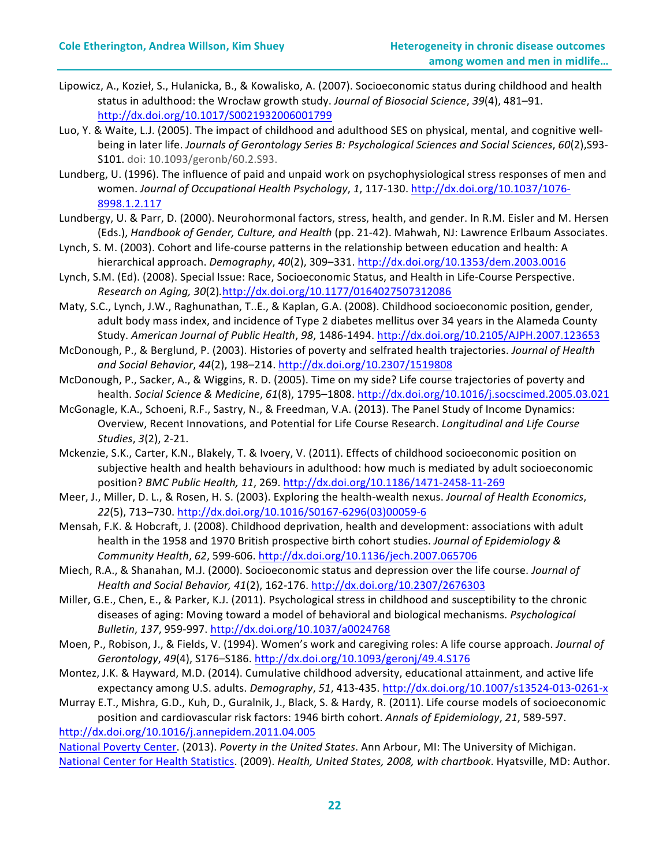- Lipowicz, A., Kozieł, S., Hulanicka, B., & Kowalisko, A. (2007). Socioeconomic status during childhood and health status in adulthood: the Wrocław growth study. Journal of Biosocial Science, 39(4), 481-91. http://dx.doi.org/10.1017/S0021932006001799
- Luo, Y. & Waite, L.J. (2005). The impact of childhood and adulthood SES on physical, mental, and cognitive wellbeing in later life. Journals of Gerontology Series B: Psychological Sciences and Social Sciences, 60(2),S93-S101. doi: 10.1093/geronb/60.2.S93.
- Lundberg, U. (1996). The influence of paid and unpaid work on psychophysiological stress responses of men and women. Journal of Occupational Health Psychology, 1, 117-130. http://dx.doi.org/10.1037/1076-8998.1.2.117
- Lundbergy, U. & Parr, D. (2000). Neurohormonal factors, stress, health, and gender. In R.M. Eisler and M. Hersen (Eds.), *Handbook of Gender, Culture, and Health* (pp. 21-42). Mahwah, NJ: Lawrence Erlbaum Associates.
- Lynch, S. M. (2003). Cohort and life-course patterns in the relationship between education and health: A hierarchical approach. *Demography*, *40*(2), 309–331. http://dx.doi.org/10.1353/dem.2003.0016
- Lynch, S.M. (Ed). (2008). Special Issue: Race, Socioeconomic Status, and Health in Life-Course Perspective. *Research on Aging, 30*(2)*.*http://dx.doi.org/10.1177/0164027507312086
- Maty, S.C., Lynch, J.W., Raghunathan, T..E., & Kaplan, G.A. (2008). Childhood socioeconomic position, gender, adult body mass index, and incidence of Type 2 diabetes mellitus over 34 years in the Alameda County Study. *American Journal of Public Health*, *98*, 1486-1494. http://dx.doi.org/10.2105/AJPH.2007.123653
- McDonough, P., & Berglund, P. (2003). Histories of poverty and selfrated health trajectories. *Journal of Health and Social Behavior*, *44*(2), 198–214. http://dx.doi.org/10.2307/1519808
- McDonough, P., Sacker, A., & Wiggins, R. D. (2005). Time on my side? Life course trajectories of poverty and health. *Social Science & Medicine*, *61*(8), 1795–1808. http://dx.doi.org/10.1016/j.socscimed.2005.03.021
- McGonagle, K.A., Schoeni, R.F., Sastry, N., & Freedman, V.A. (2013). The Panel Study of Income Dynamics: Overview, Recent Innovations, and Potential for Life Course Research. *Longitudinal and Life Course Studies*, *3*(2), 2-21.
- Mckenzie, S.K., Carter, K.N., Blakely, T. & Ivoery, V. (2011). Effects of childhood socioeconomic position on subjective health and health behaviours in adulthood: how much is mediated by adult socioeconomic position? *BMC Public Health, 11*, 269. http://dx.doi.org/10.1186/1471-2458-11-269
- Meer, J., Miller, D. L., & Rosen, H. S. (2003). Exploring the health-wealth nexus. *Journal of Health Economics*, *22*(5), 713–730. http://dx.doi.org/10.1016/S0167-6296(03)00059-6
- Mensah, F.K. & Hobcraft, J. (2008). Childhood deprivation, health and development: associations with adult health in the 1958 and 1970 British prospective birth cohort studies. *Journal of Epidemiology & Community Health*, *62*, 599-606. http://dx.doi.org/10.1136/jech.2007.065706
- Miech, R.A., & Shanahan, M.J. (2000). Socioeconomic status and depression over the life course. *Journal of Health and Social Behavior, 41*(2), 162-176. http://dx.doi.org/10.2307/2676303
- Miller, G.E., Chen, E., & Parker, K.J. (2011). Psychological stress in childhood and susceptibility to the chronic diseases of aging: Moving toward a model of behavioral and biological mechanisms. *Psychological Bulletin*, *137*, 959-997. http://dx.doi.org/10.1037/a0024768
- Moen, P., Robison, J., & Fields, V. (1994). Women's work and caregiving roles: A life course approach. *Journal of Gerontology*, *49*(4), S176–S186. http://dx.doi.org/10.1093/geronj/49.4.S176
- Montez, J.K. & Hayward, M.D. (2014). Cumulative childhood adversity, educational attainment, and active life expectancy among U.S. adults. *Demography*, 51, 413-435. http://dx.doi.org/10.1007/s13524-013-0261-x
- Murray E.T., Mishra, G.D., Kuh, D., Guralnik, J., Black, S. & Hardy, R. (2011). Life course models of socioeconomic position and cardiovascular risk factors: 1946 birth cohort. *Annals of Epidemiology*, *21*, 589-597. http://dx.doi.org/10.1016/j.annepidem.2011.04.005

National Poverty Center. (2013). Poverty in the United States. Ann Arbour, MI: The University of Michigan. National Center for Health Statistics. (2009). *Health, United States, 2008, with chartbook*. Hyatsville, MD: Author.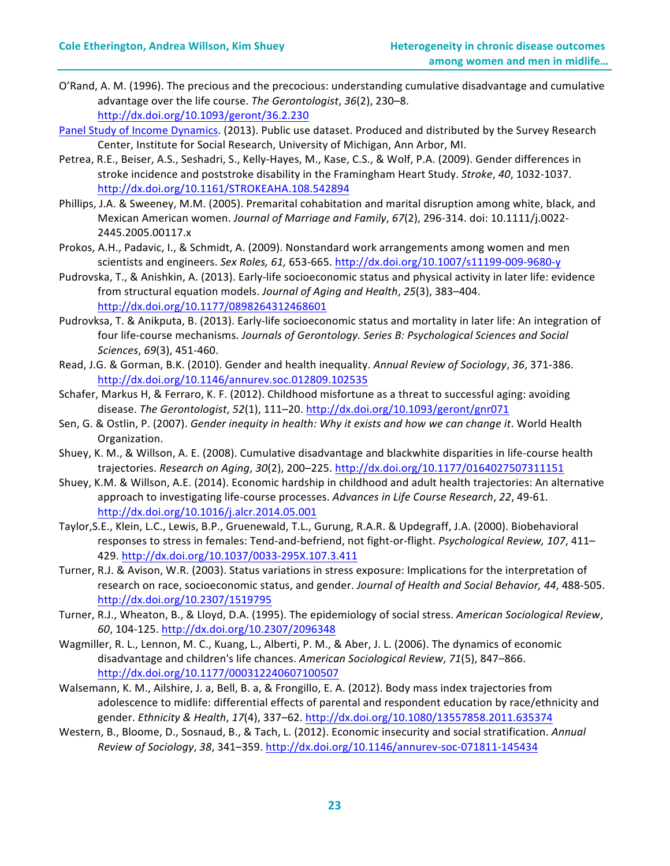- O'Rand, A. M. (1996). The precious and the precocious: understanding cumulative disadvantage and cumulative advantage over the life course. The Gerontologist, 36(2), 230-8. http://dx.doi.org/10.1093/geront/36.2.230
- Panel Study of Income Dynamics. (2013). Public use dataset. Produced and distributed by the Survey Research Center, Institute for Social Research, University of Michigan, Ann Arbor, MI.
- Petrea, R.E., Beiser, A.S., Seshadri, S., Kelly-Hayes, M., Kase, C.S., & Wolf, P.A. (2009). Gender differences in stroke incidence and poststroke disability in the Framingham Heart Study. *Stroke, 40, 1032-1037*. http://dx.doi.org/10.1161/STROKEAHA.108.542894
- Phillips, J.A. & Sweeney, M.M. (2005). Premarital cohabitation and marital disruption among white, black, and Mexican American women. Journal of Marriage and Family, 67(2), 296-314. doi: 10.1111/j.0022-2445.2005.00117.x
- Prokos, A.H., Padavic, I., & Schmidt, A. (2009). Nonstandard work arrangements among women and men scientists and engineers. *Sex Roles, 61,* 653-665. http://dx.doi.org/10.1007/s11199-009-9680-y
- Pudrovska, T., & Anishkin, A. (2013). Early-life socioeconomic status and physical activity in later life: evidence from structural equation models. *Journal of Aging and Health*, 25(3), 383-404. http://dx.doi.org/10.1177/0898264312468601
- Pudrovksa, T. & Anikputa, B. (2013). Early-life socioeconomic status and mortality in later life: An integration of four life-course mechanisms. Journals of Gerontology. Series B: Psychological Sciences and Social *Sciences*, *69*(3), 451-460.
- Read, J.G. & Gorman, B.K. (2010). Gender and health inequality. Annual Review of Sociology, 36, 371-386. http://dx.doi.org/10.1146/annurev.soc.012809.102535
- Schafer, Markus H, & Ferraro, K. F. (2012). Childhood misfortune as a threat to successful aging: avoiding disease. The Gerontologist, 52(1), 111–20. http://dx.doi.org/10.1093/geront/gnr071
- Sen, G. & Ostlin, P. (2007). *Gender inequity in health: Why it exists and how we can change it*. World Health Organization.
- Shuey, K. M., & Willson, A. E. (2008). Cumulative disadvantage and blackwhite disparities in life-course health trajectories. *Research on Aging*, *30*(2), 200–225. http://dx.doi.org/10.1177/0164027507311151
- Shuey, K.M. & Willson, A.E. (2014). Economic hardship in childhood and adult health trajectories: An alternative approach to investigating life-course processes. Advances in Life Course Research, 22, 49-61. http://dx.doi.org/10.1016/j.alcr.2014.05.001
- Taylor,S.E., Klein, L.C., Lewis, B.P., Gruenewald, T.L., Gurung, R.A.R. & Updegraff, J.A. (2000). Biobehavioral responses to stress in females: Tend-and-befriend, not fight-or-flight. Psychological Review, 107, 411-429. http://dx.doi.org/10.1037/0033-295X.107.3.411
- Turner, R.J. & Avison, W.R. (2003). Status variations in stress exposure: Implications for the interpretation of research on race, socioeconomic status, and gender. Journal of Health and Social Behavior, 44, 488-505. http://dx.doi.org/10.2307/1519795
- Turner, R.J., Wheaton, B., & Lloyd, D.A. (1995). The epidemiology of social stress. American Sociological Review, *60*, 104-125. http://dx.doi.org/10.2307/2096348
- Wagmiller, R. L., Lennon, M. C., Kuang, L., Alberti, P. M., & Aber, J. L. (2006). The dynamics of economic disadvantage and children's life chances. American Sociological Review, 71(5), 847-866. http://dx.doi.org/10.1177/000312240607100507
- Walsemann, K. M., Ailshire, J. a, Bell, B. a, & Frongillo, E. A. (2012). Body mass index trajectories from adolescence to midlife: differential effects of parental and respondent education by race/ethnicity and gender. *Ethnicity & Health*, *17*(4), 337–62. http://dx.doi.org/10.1080/13557858.2011.635374
- Western, B., Bloome, D., Sosnaud, B., & Tach, L. (2012). Economic insecurity and social stratification. Annual *Review of Sociology*, *38*, 341–359. http://dx.doi.org/10.1146/annurev-soc-071811-145434